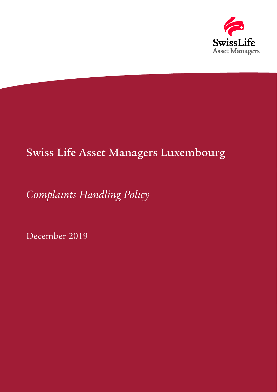

# Swiss Life Asset Managers Luxembourg

# *Complaints Handling Policy*

December 2019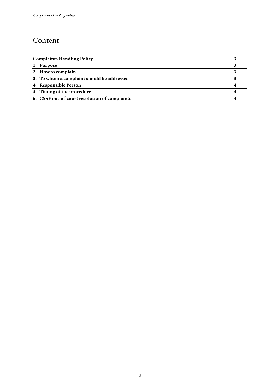#### Content

| <b>Complaints Handling Policy</b>             |  |
|-----------------------------------------------|--|
| 1. Purpose                                    |  |
| 2. How to complain                            |  |
| 3. To whom a complaint should be addressed    |  |
| 4. Responsible Person                         |  |
| 5. Timing of the procedure                    |  |
| 6. CSSF out-of-court resolution of complaints |  |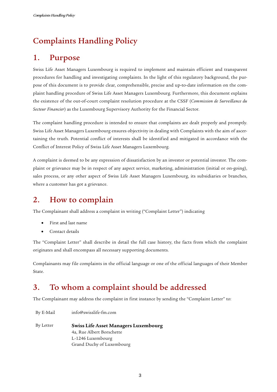### <span id="page-2-0"></span>Complaints Handling Policy

#### <span id="page-2-1"></span>1. Purpose

Swiss Life Asset Managers Luxembourg is required to implement and maintain efficient and transparent procedures for handling and investigating complaints. In the light of this regulatory background, the purpose of this document is to provide clear, comprehensible, precise and up-to-date information on the complaint handling procedure of Swiss Life Asset Managers Luxembourg. Furthermore, this document explains the existence of the out-of-court complaint resolution procedure at the CSSF (*Commission de Surveillance du Secteur Financier*) as the Luxembourg Supervisory Authority for the Financial Sector.

The complaint handling procedure is intended to ensure that complaints are dealt properly and promptly. Swiss Life Asset Managers Luxembourg ensures objectivity in dealing with Complaints with the aim of ascertaining the truth. Potential conflict of interests shall be identified and mitigated in accordance with the Conflict of Interest Policy of Swiss Life Asset Managers Luxembourg.

A complaint is deemed to be any expression of dissatisfaction by an investor or potential investor. The complaint or grievance may be in respect of any aspect service, marketing, administration (initial or on-going), sales process, or any other aspect of Swiss Life Asset Managers Luxembourg, its subsidiaries or branches, where a customer has got a grievance.

#### <span id="page-2-2"></span>2. How to complain

The Complainant shall address a complaint in writing ("Complaint Letter") indicating

- First and last name
- Contact details

The "Complaint Letter" shall describe in detail the full case history, the facts from which the complaint originates and shall encompass all necessary supporting documents.

Complainants may file complaints in the official language or one of the official languages of their Member State.

### <span id="page-2-3"></span>3. To whom a complaint should be addressed

The Complainant may address the complaint in first instance by sending the "Complaint Letter" to:

By E-Mail info@swisslife-fm.com

By Letter **Swiss Life Asset Managers Luxembourg** 4a, Rue Albert Borschette L-1246 Luxembourg Grand Duchy of Luxembourg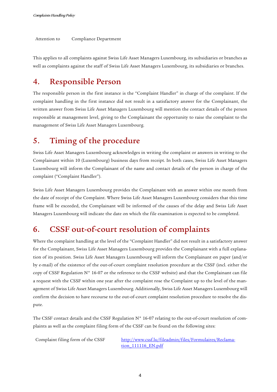Attention to Compliance Department

<span id="page-3-0"></span>This applies to all complaints against Swiss Life Asset Managers Luxembourg, its subsidiaries or branches as well as complaints against the staff of Swiss Life Asset Managers Luxembourg, its subsidiaries or branches.

#### 4. Responsible Person

The responsible person in the first instance is the "Complaint Handler" in charge of the complaint. If the complaint handling in the first instance did not result in a satisfactory answer for the Complainant, the written answer from Swiss Life Asset Managers Luxembourg will mention the contact details of the person responsible at management level, giving to the Complainant the opportunity to raise the complaint to the management of Swiss Life Asset Managers Luxembourg.

#### <span id="page-3-1"></span>5. Timing of the procedure

Swiss Life Asset Managers Luxembourg acknowledges in writing the complaint or answers in writing to the Complainant within 10 (Luxembourg) business days from receipt. In both cases, Swiss Life Asset Managers Luxembourg will inform the Complainant of the name and contact details of the person in charge of the complaint ("Complaint Handler").

Swiss Life Asset Managers Luxembourg provides the Complainant with an answer within one month from the date of receipt of the Complaint. Where Swiss Life Asset Managers Luxembourg considers that this time frame will be exceeded, the Complainant will be informed of the causes of the delay and Swiss Life Asset Managers Luxembourg will indicate the date on which the file examination is expected to be completed.

#### <span id="page-3-2"></span>6. CSSF out-of-court resolution of complaints

Where the complaint handling at the level of the "Complaint Handler" did not result in a satisfactory answer for the Complainant, Swiss Life Asset Managers Luxembourg provides the Complainant with a full explanation of its position. Swiss Life Asset Managers Luxembourg will inform the Complainant on paper (and/or by e-mail) of the existence of the out-of-court complaint resolution procedure at the CSSF (incl. either the copy of CSSF Regulation N° 16-07 or the reference to the CSSF website) and that the Complainant can file a request with the CSSF within one year after the complaint rose the Complaint up to the level of the management of Swiss Life Asset Managers Luxembourg. Additionally, Swiss Life Asset Managers Luxembourg will confirm the decision to have recourse to the out-of-court complaint resolution procedure to resolve the dispute.

The CSSF contact details and the CSSF Regulation N° 16-07 relating to the out-of-court resolution of complaints as well as the complaint filing form of the CSSF can be found on the following sites:

Complaint filing form of the CSSF [http://www.cssf.lu/fileadmin/files/Formulaires/Reclama](http://www.cssf.lu/fileadmin/files/Formulaires/Reclamation_111116_EN.pdf)tion 111116 EN.pdf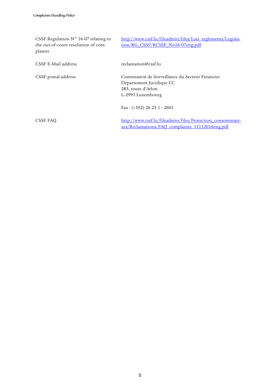| CSSF Regulation $N^{\circ}$ 16-07 relating to<br>the out-of-court resolution of com-<br>plaints | http://www.cssf.lu/fileadmin/files/Lois reglements/Legisla-<br>tion/RG CSSF/RCSSF No16-07eng.pdf                       |
|-------------------------------------------------------------------------------------------------|------------------------------------------------------------------------------------------------------------------------|
| CSSF E-Mail address                                                                             | reclamation@cssf.lu                                                                                                    |
| CSSF postal address                                                                             | Commission de Surveillance du Secteur Financier<br>Département Juridique CC<br>283, route d'Arlon<br>L-2991 Luxembourg |
|                                                                                                 | $Fax: (+352) 26 25 1 - 2601$                                                                                           |
| CSSF FAO                                                                                        | http://www.cssf.lu/fileadmin/files/Protection consommate-<br>urs/Reclamations/FAQ complaints 11112016eng.pdf           |